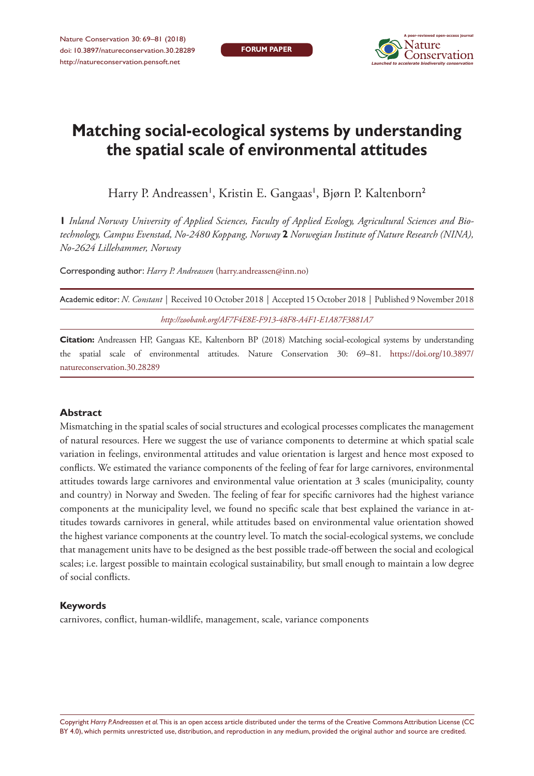**FORUM PAPER**



# **Matching social-ecological systems by understanding the spatial scale of environmental attitudes**

Harry P. Andreassen', Kristin E. Gangaas', Bjørn P. Kaltenborn<sup>2</sup>

**1** *Inland Norway University of Applied Sciences, Faculty of Applied Ecology, Agricultural Sciences and Biotechnology, Campus Evenstad, No-2480 Koppang, Norway* **2** *Norwegian Institute of Nature Research (NINA), No-2624 Lillehammer, Norway*

Corresponding author: *Harry P. Andreassen* ([harry.andreassen@inn.no](mailto:harry.andreassen@inn.no))

| Academic editor: N. Constant   Received 10 October 2018   Accepted 15 October 2018   Published 9 November 2018 |  |
|----------------------------------------------------------------------------------------------------------------|--|
| http://zoobank.org/AF7F4E8E-F913-48F8-A4F1-E1A87F3881A7                                                        |  |

**Citation:** Andreassen HP, Gangaas KE, Kaltenborn BP (2018) Matching social-ecological systems by understanding the spatial scale of environmental attitudes. Nature Conservation 30: 69–81. [https://doi.org/10.3897/](https://doi.org/10.3897/natureconservation.30.28289) [natureconservation.30.28289](https://doi.org/10.3897/natureconservation.30.28289)

#### **Abstract**

Mismatching in the spatial scales of social structures and ecological processes complicates the management of natural resources. Here we suggest the use of variance components to determine at which spatial scale variation in feelings, environmental attitudes and value orientation is largest and hence most exposed to conflicts. We estimated the variance components of the feeling of fear for large carnivores, environmental attitudes towards large carnivores and environmental value orientation at 3 scales (municipality, county and country) in Norway and Sweden. The feeling of fear for specific carnivores had the highest variance components at the municipality level, we found no specific scale that best explained the variance in attitudes towards carnivores in general, while attitudes based on environmental value orientation showed the highest variance components at the country level. To match the social-ecological systems, we conclude that management units have to be designed as the best possible trade-off between the social and ecological scales; i.e. largest possible to maintain ecological sustainability, but small enough to maintain a low degree of social conflicts.

#### **Keywords**

carnivores, conflict, human-wildlife, management, scale, variance components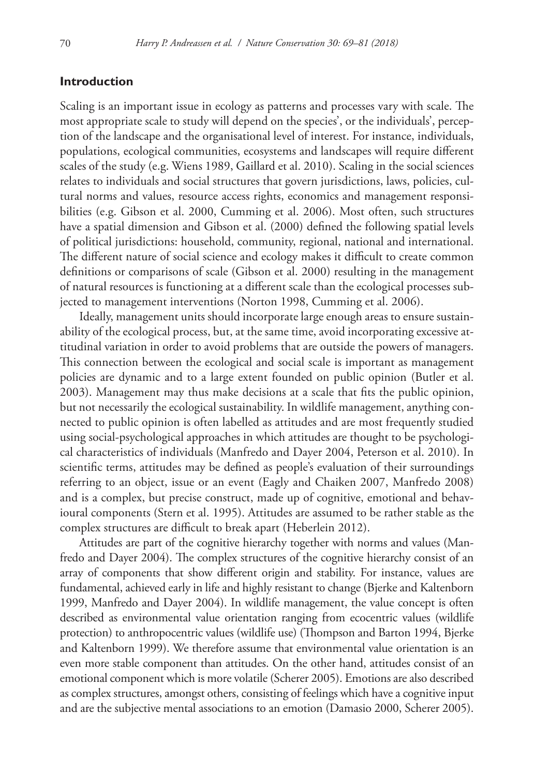## **Introduction**

Scaling is an important issue in ecology as patterns and processes vary with scale. The most appropriate scale to study will depend on the species', or the individuals', perception of the landscape and the organisational level of interest. For instance, individuals, populations, ecological communities, ecosystems and landscapes will require different scales of the study (e.g. Wiens 1989, Gaillard et al. 2010). Scaling in the social sciences relates to individuals and social structures that govern jurisdictions, laws, policies, cultural norms and values, resource access rights, economics and management responsibilities (e.g. Gibson et al. 2000, Cumming et al. 2006). Most often, such structures have a spatial dimension and Gibson et al. (2000) defined the following spatial levels of political jurisdictions: household, community, regional, national and international. The different nature of social science and ecology makes it difficult to create common definitions or comparisons of scale (Gibson et al. 2000) resulting in the management of natural resources is functioning at a different scale than the ecological processes subjected to management interventions (Norton 1998, Cumming et al. 2006).

Ideally, management units should incorporate large enough areas to ensure sustainability of the ecological process, but, at the same time, avoid incorporating excessive attitudinal variation in order to avoid problems that are outside the powers of managers. This connection between the ecological and social scale is important as management policies are dynamic and to a large extent founded on public opinion (Butler et al. 2003). Management may thus make decisions at a scale that fits the public opinion, but not necessarily the ecological sustainability. In wildlife management, anything connected to public opinion is often labelled as attitudes and are most frequently studied using social-psychological approaches in which attitudes are thought to be psychological characteristics of individuals (Manfredo and Dayer 2004, Peterson et al. 2010). In scientific terms, attitudes may be defined as people's evaluation of their surroundings referring to an object, issue or an event (Eagly and Chaiken 2007, Manfredo 2008) and is a complex, but precise construct, made up of cognitive, emotional and behavioural components (Stern et al. 1995). Attitudes are assumed to be rather stable as the complex structures are difficult to break apart (Heberlein 2012).

Attitudes are part of the cognitive hierarchy together with norms and values (Manfredo and Dayer 2004). The complex structures of the cognitive hierarchy consist of an array of components that show different origin and stability. For instance, values are fundamental, achieved early in life and highly resistant to change (Bjerke and Kaltenborn 1999, Manfredo and Dayer 2004). In wildlife management, the value concept is often described as environmental value orientation ranging from ecocentric values (wildlife protection) to anthropocentric values (wildlife use) (Thompson and Barton 1994, Bjerke and Kaltenborn 1999). We therefore assume that environmental value orientation is an even more stable component than attitudes. On the other hand, attitudes consist of an emotional component which is more volatile (Scherer 2005). Emotions are also described as complex structures, amongst others, consisting of feelings which have a cognitive input and are the subjective mental associations to an emotion (Damasio 2000, Scherer 2005).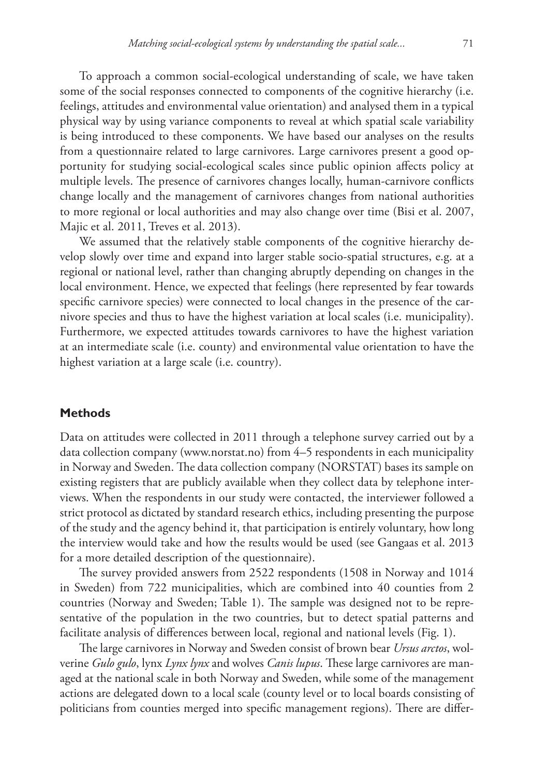To approach a common social-ecological understanding of scale, we have taken some of the social responses connected to components of the cognitive hierarchy (i.e. feelings, attitudes and environmental value orientation) and analysed them in a typical physical way by using variance components to reveal at which spatial scale variability is being introduced to these components. We have based our analyses on the results from a questionnaire related to large carnivores. Large carnivores present a good opportunity for studying social-ecological scales since public opinion affects policy at multiple levels. The presence of carnivores changes locally, human-carnivore conflicts change locally and the management of carnivores changes from national authorities to more regional or local authorities and may also change over time (Bisi et al. 2007, Majic et al. 2011, Treves et al. 2013).

We assumed that the relatively stable components of the cognitive hierarchy develop slowly over time and expand into larger stable socio-spatial structures, e.g. at a regional or national level, rather than changing abruptly depending on changes in the local environment. Hence, we expected that feelings (here represented by fear towards specific carnivore species) were connected to local changes in the presence of the carnivore species and thus to have the highest variation at local scales (i.e. municipality). Furthermore, we expected attitudes towards carnivores to have the highest variation at an intermediate scale (i.e. county) and environmental value orientation to have the highest variation at a large scale (i.e. country).

#### **Methods**

Data on attitudes were collected in 2011 through a telephone survey carried out by a data collection company [\(www.norstat.no](http://www.norstat.no)) from 4–5 respondents in each municipality in Norway and Sweden. The data collection company (NORSTAT) bases its sample on existing registers that are publicly available when they collect data by telephone interviews. When the respondents in our study were contacted, the interviewer followed a strict protocol as dictated by standard research ethics, including presenting the purpose of the study and the agency behind it, that participation is entirely voluntary, how long the interview would take and how the results would be used (see Gangaas et al. 2013 for a more detailed description of the questionnaire).

The survey provided answers from 2522 respondents (1508 in Norway and 1014 in Sweden) from 722 municipalities, which are combined into 40 counties from 2 countries (Norway and Sweden; Table 1). The sample was designed not to be representative of the population in the two countries, but to detect spatial patterns and facilitate analysis of differences between local, regional and national levels (Fig. 1).

The large carnivores in Norway and Sweden consist of brown bear *Ursus arctos*, wolverine *Gulo gulo*, lynx *Lynx lynx* and wolves *Canis lupus*. These large carnivores are managed at the national scale in both Norway and Sweden, while some of the management actions are delegated down to a local scale (county level or to local boards consisting of politicians from counties merged into specific management regions). There are differ-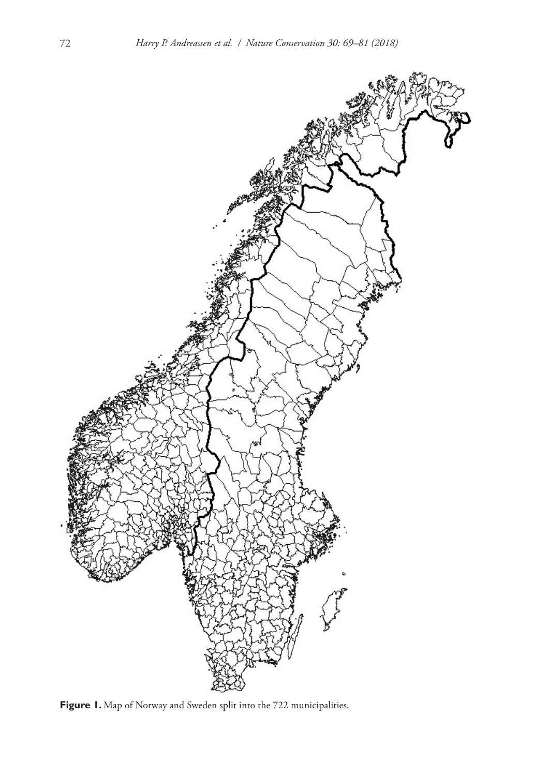

**Figure 1.** Map of Norway and Sweden split into the 722 municipalities.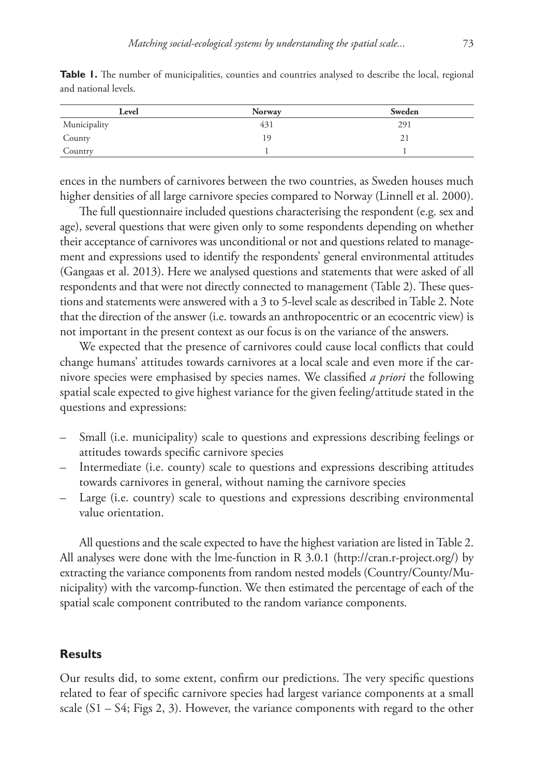| Level        | <b>Norway</b> | Sweden |
|--------------|---------------|--------|
| Municipality | 431           | 291    |
| County       | 19            | ∠⊥     |
| Country      |               |        |

Table 1. The number of municipalities, counties and countries analysed to describe the local, regional and national levels.

ences in the numbers of carnivores between the two countries, as Sweden houses much higher densities of all large carnivore species compared to Norway (Linnell et al. 2000).

The full questionnaire included questions characterising the respondent (e.g. sex and age), several questions that were given only to some respondents depending on whether their acceptance of carnivores was unconditional or not and questions related to management and expressions used to identify the respondents' general environmental attitudes (Gangaas et al. 2013). Here we analysed questions and statements that were asked of all respondents and that were not directly connected to management (Table 2). These questions and statements were answered with a 3 to 5-level scale as described in Table 2. Note that the direction of the answer (i.e. towards an anthropocentric or an ecocentric view) is not important in the present context as our focus is on the variance of the answers.

We expected that the presence of carnivores could cause local conflicts that could change humans' attitudes towards carnivores at a local scale and even more if the carnivore species were emphasised by species names. We classified *a priori* the following spatial scale expected to give highest variance for the given feeling/attitude stated in the questions and expressions:

- Small (i.e. municipality) scale to questions and expressions describing feelings or attitudes towards specific carnivore species
- Intermediate (i.e. county) scale to questions and expressions describing attitudes towards carnivores in general, without naming the carnivore species
- Large (i.e. country) scale to questions and expressions describing environmental value orientation.

All questions and the scale expected to have the highest variation are listed in Table 2. All analyses were done with the lme-function in R 3.0.1 (<http://cran.r-project.org/>) by extracting the variance components from random nested models (Country/County/Municipality) with the varcomp-function. We then estimated the percentage of each of the spatial scale component contributed to the random variance components.

#### **Results**

Our results did, to some extent, confirm our predictions. The very specific questions related to fear of specific carnivore species had largest variance components at a small scale (S1 – S4; Figs 2, 3). However, the variance components with regard to the other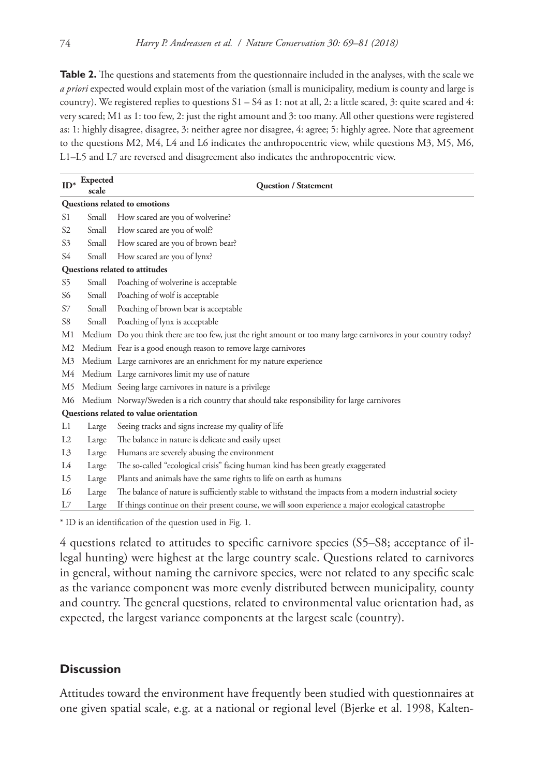**Table 2.** The questions and statements from the questionnaire included in the analyses, with the scale we *a priori* expected would explain most of the variation (small is municipality, medium is county and large is country). We registered replies to questions  $S1 - S4$  as 1: not at all, 2: a little scared, 3: quite scared and 4: very scared; M1 as 1: too few, 2: just the right amount and 3: too many. All other questions were registered as: 1: highly disagree, disagree, 3: neither agree nor disagree, 4: agree; 5: highly agree. Note that agreement to the questions M2, M4, L4 and L6 indicates the anthropocentric view, while questions M3, M5, M6, L1–L5 and L7 are reversed and disagreement also indicates the anthropocentric view.

| $ID^*$                                 | Expected<br>scale | <b>Question / Statement</b>                                                                                      |  |
|----------------------------------------|-------------------|------------------------------------------------------------------------------------------------------------------|--|
| Questions related to emotions          |                   |                                                                                                                  |  |
| S1                                     | Small             | How scared are you of wolverine?                                                                                 |  |
| S <sub>2</sub>                         | Small             | How scared are you of wolf?                                                                                      |  |
| S <sub>3</sub>                         | Small             | How scared are you of brown bear?                                                                                |  |
| S4                                     | Small             | How scared are you of lynx?                                                                                      |  |
| Questions related to attitudes         |                   |                                                                                                                  |  |
| S5                                     | Small             | Poaching of wolverine is acceptable                                                                              |  |
| S6                                     | Small             | Poaching of wolf is acceptable                                                                                   |  |
| S7                                     | Small             | Poaching of brown bear is acceptable                                                                             |  |
| S8                                     | Small             | Poaching of lynx is acceptable                                                                                   |  |
| M1                                     |                   | Medium Do you think there are too few, just the right amount or too many large carnivores in your country today? |  |
| M2                                     |                   | Medium Fear is a good enough reason to remove large carnivores                                                   |  |
| M3                                     |                   | Medium Large carnivores are an enrichment for my nature experience                                               |  |
| M4                                     |                   | Medium Large carnivores limit my use of nature                                                                   |  |
| M5                                     |                   | Medium Seeing large carnivores in nature is a privilege                                                          |  |
| M6                                     |                   | Medium Norway/Sweden is a rich country that should take responsibility for large carnivores                      |  |
| Questions related to value orientation |                   |                                                                                                                  |  |
| Ll                                     | Large             | Seeing tracks and signs increase my quality of life                                                              |  |
| L2                                     | Large             | The balance in nature is delicate and easily upset                                                               |  |
| L3                                     | Large             | Humans are severely abusing the environment                                                                      |  |
| L4                                     | Large             | The so-called "ecological crisis" facing human kind has been greatly exaggerated                                 |  |
| L5                                     | Large             | Plants and animals have the same rights to life on earth as humans                                               |  |
| L6                                     | Large             | The balance of nature is sufficiently stable to withstand the impacts from a modern industrial society           |  |
| L7                                     | Large             | If things continue on their present course, we will soon experience a major ecological catastrophe               |  |

\* ID is an identification of the question used in Fig. 1.

4 questions related to attitudes to specific carnivore species (S5–S8; acceptance of illegal hunting) were highest at the large country scale. Questions related to carnivores in general, without naming the carnivore species, were not related to any specific scale as the variance component was more evenly distributed between municipality, county and country. The general questions, related to environmental value orientation had, as expected, the largest variance components at the largest scale (country).

# **Discussion**

Attitudes toward the environment have frequently been studied with questionnaires at one given spatial scale, e.g. at a national or regional level (Bjerke et al. 1998, Kalten-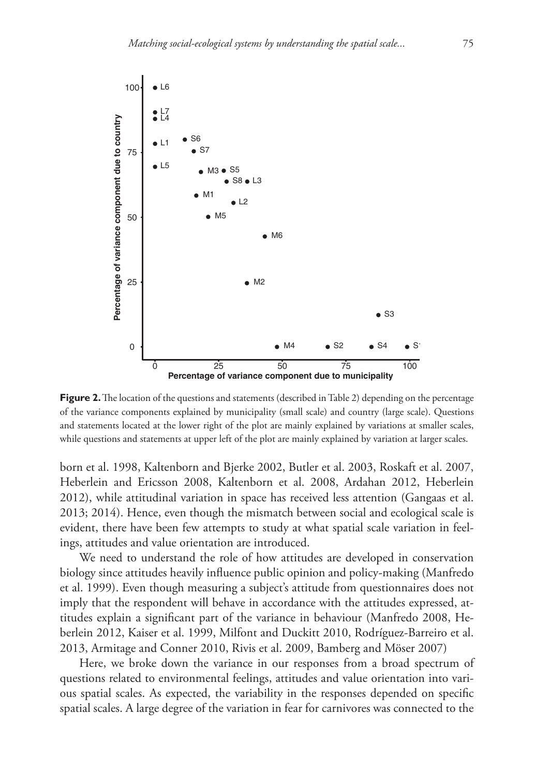

**Figure 2.** The location of the questions and statements (described in Table 2) depending on the percentage of the variance components explained by municipality (small scale) and country (large scale). Questions and statements located at the lower right of the plot are mainly explained by variations at smaller scales, while questions and statements at upper left of the plot are mainly explained by variation at larger scales.

born et al. 1998, Kaltenborn and Bjerke 2002, Butler et al. 2003, Roskaft et al. 2007, Heberlein and Ericsson 2008, Kaltenborn et al. 2008, Ardahan 2012, Heberlein 2012), while attitudinal variation in space has received less attention (Gangaas et al. 2013; 2014). Hence, even though the mismatch between social and ecological scale is evident, there have been few attempts to study at what spatial scale variation in feelings, attitudes and value orientation are introduced.

We need to understand the role of how attitudes are developed in conservation biology since attitudes heavily influence public opinion and policy-making (Manfredo et al. 1999). Even though measuring a subject's attitude from questionnaires does not imply that the respondent will behave in accordance with the attitudes expressed, attitudes explain a significant part of the variance in behaviour (Manfredo 2008, Heberlein 2012, Kaiser et al. 1999, Milfont and Duckitt 2010, Rodríguez-Barreiro et al. 2013, Armitage and Conner 2010, Rivis et al. 2009, Bamberg and Möser 2007)

Here, we broke down the variance in our responses from a broad spectrum of questions related to environmental feelings, attitudes and value orientation into various spatial scales. As expected, the variability in the responses depended on specific spatial scales. A large degree of the variation in fear for carnivores was connected to the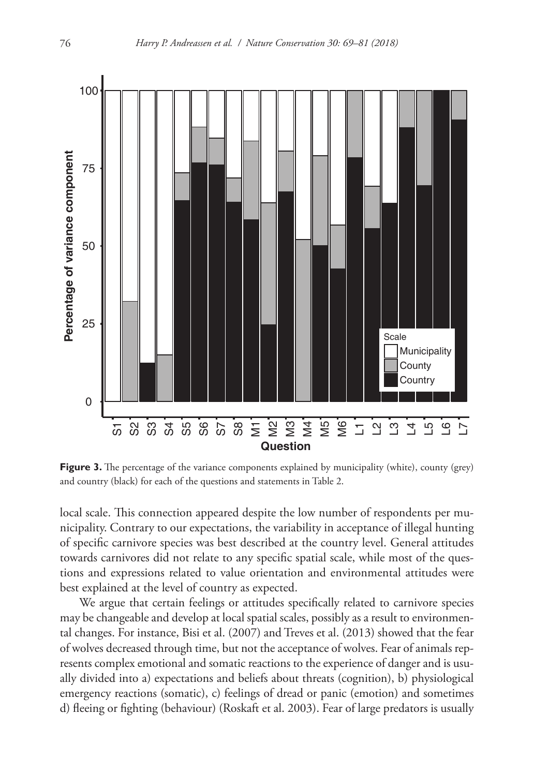

**Figure 3.** The percentage of the variance components explained by municipality (white), county (grey) and country (black) for each of the questions and statements in Table 2.

local scale. This connection appeared despite the low number of respondents per municipality. Contrary to our expectations, the variability in acceptance of illegal hunting of specific carnivore species was best described at the country level. General attitudes towards carnivores did not relate to any specific spatial scale, while most of the questions and expressions related to value orientation and environmental attitudes were best explained at the level of country as expected.

We argue that certain feelings or attitudes specifically related to carnivore species may be changeable and develop at local spatial scales, possibly as a result to environmental changes. For instance, Bisi et al. (2007) and Treves et al. (2013) showed that the fear of wolves decreased through time, but not the acceptance of wolves. Fear of animals represents complex emotional and somatic reactions to the experience of danger and is usually divided into a) expectations and beliefs about threats (cognition), b) physiological emergency reactions (somatic), c) feelings of dread or panic (emotion) and sometimes d) fleeing or fighting (behaviour) (Roskaft et al. 2003). Fear of large predators is usually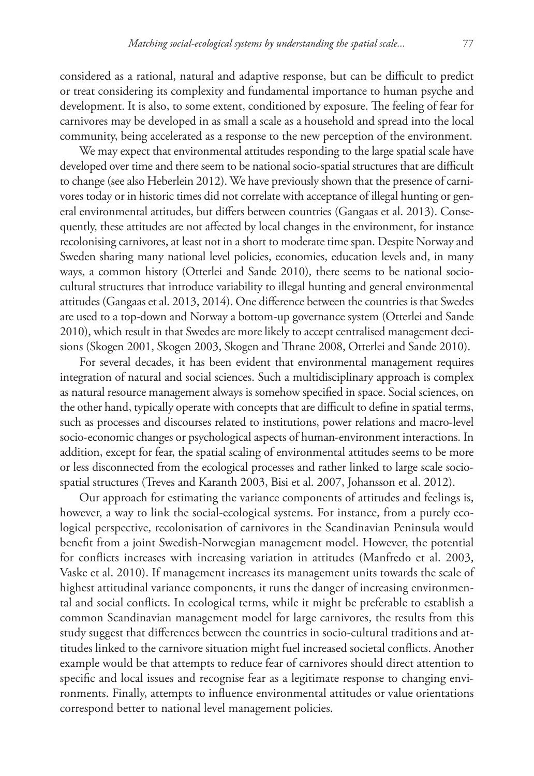considered as a rational, natural and adaptive response, but can be difficult to predict or treat considering its complexity and fundamental importance to human psyche and development. It is also, to some extent, conditioned by exposure. The feeling of fear for carnivores may be developed in as small a scale as a household and spread into the local community, being accelerated as a response to the new perception of the environment.

We may expect that environmental attitudes responding to the large spatial scale have developed over time and there seem to be national socio-spatial structures that are difficult to change (see also Heberlein 2012). We have previously shown that the presence of carnivores today or in historic times did not correlate with acceptance of illegal hunting or general environmental attitudes, but differs between countries (Gangaas et al. 2013). Consequently, these attitudes are not affected by local changes in the environment, for instance recolonising carnivores, at least not in a short to moderate time span. Despite Norway and Sweden sharing many national level policies, economies, education levels and, in many ways, a common history (Otterlei and Sande 2010), there seems to be national sociocultural structures that introduce variability to illegal hunting and general environmental attitudes (Gangaas et al. 2013, 2014). One difference between the countries is that Swedes are used to a top-down and Norway a bottom-up governance system (Otterlei and Sande 2010), which result in that Swedes are more likely to accept centralised management decisions (Skogen 2001, Skogen 2003, Skogen and Thrane 2008, Otterlei and Sande 2010).

For several decades, it has been evident that environmental management requires integration of natural and social sciences. Such a multidisciplinary approach is complex as natural resource management always is somehow specified in space. Social sciences, on the other hand, typically operate with concepts that are difficult to define in spatial terms, such as processes and discourses related to institutions, power relations and macro-level socio-economic changes or psychological aspects of human-environment interactions. In addition, except for fear, the spatial scaling of environmental attitudes seems to be more or less disconnected from the ecological processes and rather linked to large scale sociospatial structures (Treves and Karanth 2003, Bisi et al. 2007, Johansson et al. 2012).

Our approach for estimating the variance components of attitudes and feelings is, however, a way to link the social-ecological systems. For instance, from a purely ecological perspective, recolonisation of carnivores in the Scandinavian Peninsula would benefit from a joint Swedish-Norwegian management model. However, the potential for conflicts increases with increasing variation in attitudes (Manfredo et al. 2003, Vaske et al. 2010). If management increases its management units towards the scale of highest attitudinal variance components, it runs the danger of increasing environmental and social conflicts. In ecological terms, while it might be preferable to establish a common Scandinavian management model for large carnivores, the results from this study suggest that differences between the countries in socio-cultural traditions and attitudes linked to the carnivore situation might fuel increased societal conflicts. Another example would be that attempts to reduce fear of carnivores should direct attention to specific and local issues and recognise fear as a legitimate response to changing environments. Finally, attempts to influence environmental attitudes or value orientations correspond better to national level management policies.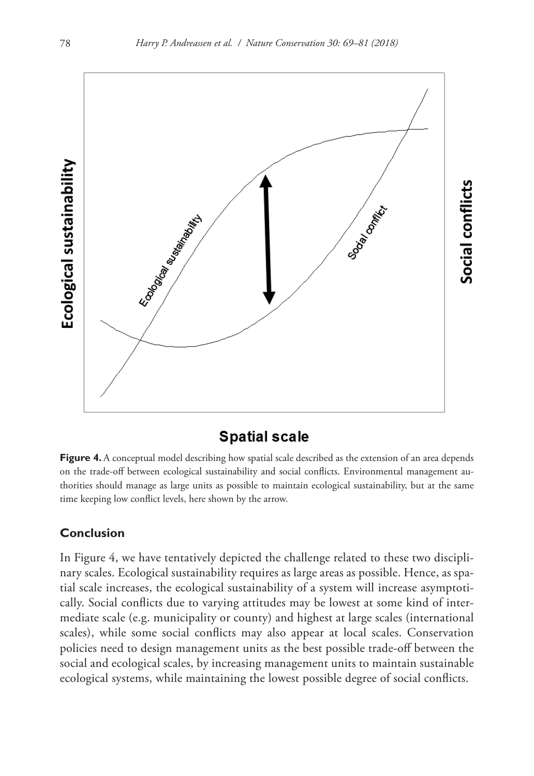

# **Spatial scale**

**Figure 4.** A conceptual model describing how spatial scale described as the extension of an area depends on the trade-off between ecological sustainability and social conflicts. Environmental management authorities should manage as large units as possible to maintain ecological sustainability, but at the same time keeping low conflict levels, here shown by the arrow.

# **Conclusion**

In Figure 4, we have tentatively depicted the challenge related to these two disciplinary scales. Ecological sustainability requires as large areas as possible. Hence, as spatial scale increases, the ecological sustainability of a system will increase asymptotically. Social conflicts due to varying attitudes may be lowest at some kind of intermediate scale (e.g. municipality or county) and highest at large scales (international scales), while some social conflicts may also appear at local scales. Conservation policies need to design management units as the best possible trade-off between the social and ecological scales, by increasing management units to maintain sustainable ecological systems, while maintaining the lowest possible degree of social conflicts.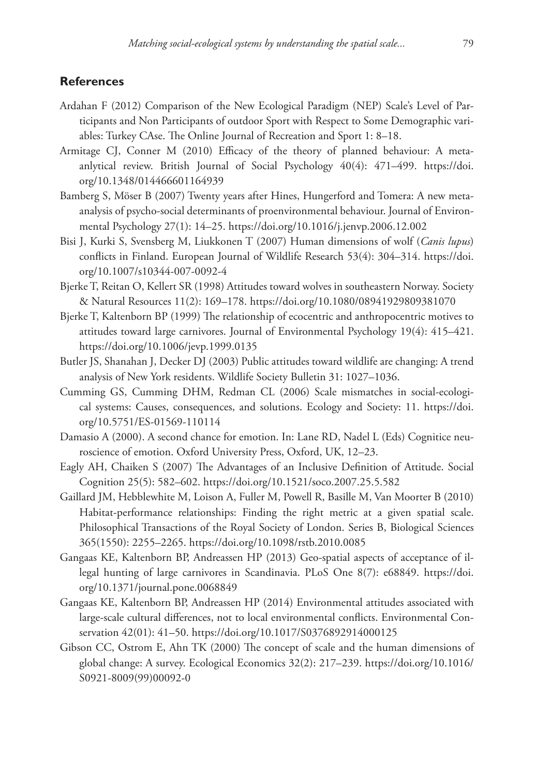## **References**

- Ardahan F (2012) Comparison of the New Ecological Paradigm (NEP) Scale's Level of Participants and Non Participants of outdoor Sport with Respect to Some Demographic variables: Turkey CAse. The Online Journal of Recreation and Sport 1: 8–18.
- Armitage CJ, Conner M (2010) Efficacy of the theory of planned behaviour: A metaanlytical review. British Journal of Social Psychology 40(4): 471–499. [https://doi.](https://doi.org/10.1348/014466601164939) [org/10.1348/014466601164939](https://doi.org/10.1348/014466601164939)
- Bamberg S, Möser B (2007) Twenty years after Hines, Hungerford and Tomera: A new metaanalysis of psycho-social determinants of proenvironmental behaviour. Journal of Environmental Psychology 27(1): 14–25.<https://doi.org/10.1016/j.jenvp.2006.12.002>
- Bisi J, Kurki S, Svensberg M, Liukkonen T (2007) Human dimensions of wolf (*Canis lupus*) conflicts in Finland. European Journal of Wildlife Research 53(4): 304–314. [https://doi.](https://doi.org/10.1007/s10344-007-0092-4) [org/10.1007/s10344-007-0092-4](https://doi.org/10.1007/s10344-007-0092-4)
- Bjerke T, Reitan O, Kellert SR (1998) Attitudes toward wolves in southeastern Norway. Society & Natural Resources 11(2): 169–178.<https://doi.org/10.1080/08941929809381070>
- Bjerke T, Kaltenborn BP (1999) The relationship of ecocentric and anthropocentric motives to attitudes toward large carnivores. Journal of Environmental Psychology 19(4): 415–421. <https://doi.org/10.1006/jevp.1999.0135>
- Butler JS, Shanahan J, Decker DJ (2003) Public attitudes toward wildlife are changing: A trend analysis of New York residents. Wildlife Society Bulletin 31: 1027–1036.
- Cumming GS, Cumming DHM, Redman CL (2006) Scale mismatches in social-ecological systems: Causes, consequences, and solutions. Ecology and Society: 11. [https://doi.](https://doi.org/10.5751/ES-01569-110114) [org/10.5751/ES-01569-110114](https://doi.org/10.5751/ES-01569-110114)
- Damasio A (2000). A second chance for emotion. In: Lane RD, Nadel L (Eds) Cognitice neuroscience of emotion. Oxford University Press, Oxford, UK, 12–23.
- Eagly AH, Chaiken S (2007) The Advantages of an Inclusive Definition of Attitude. Social Cognition 25(5): 582–602.<https://doi.org/10.1521/soco.2007.25.5.582>
- Gaillard JM, Hebblewhite M, Loison A, Fuller M, Powell R, Basille M, Van Moorter B (2010) Habitat-performance relationships: Finding the right metric at a given spatial scale. Philosophical Transactions of the Royal Society of London. Series B, Biological Sciences 365(1550): 2255–2265. <https://doi.org/10.1098/rstb.2010.0085>
- Gangaas KE, Kaltenborn BP, Andreassen HP (2013) Geo-spatial aspects of acceptance of illegal hunting of large carnivores in Scandinavia. PLoS One 8(7): e68849. [https://doi.](https://doi.org/10.1371/journal.pone.0068849) [org/10.1371/journal.pone.0068849](https://doi.org/10.1371/journal.pone.0068849)
- Gangaas KE, Kaltenborn BP, Andreassen HP (2014) Environmental attitudes associated with large-scale cultural differences, not to local environmental conflicts. Environmental Conservation 42(01): 41–50.<https://doi.org/10.1017/S0376892914000125>
- Gibson CC, Ostrom E, Ahn TK (2000) The concept of scale and the human dimensions of global change: A survey. Ecological Economics 32(2): 217–239. [https://doi.org/10.1016/](https://doi.org/10.1016/S0921-8009(99)00092-0) [S0921-8009\(99\)00092-0](https://doi.org/10.1016/S0921-8009(99)00092-0)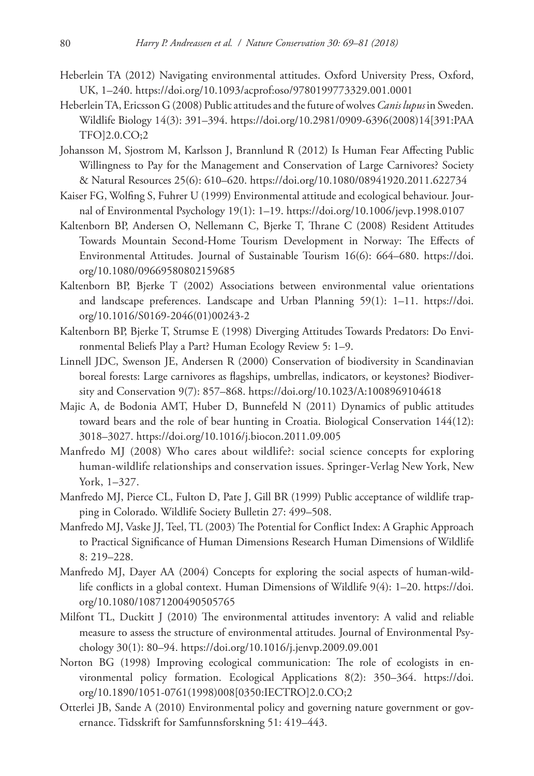- Heberlein TA (2012) Navigating environmental attitudes. Oxford University Press, Oxford, UK, 1–240. <https://doi.org/10.1093/acprof:oso/9780199773329.001.0001>
- Heberlein TA, Ericsson G (2008) Public attitudes and the future of wolves *Canis lupus* in Sweden. Wildlife Biology 14(3): 391–394. [https://doi.org/10.2981/0909-6396\(2008\)14\[391:PAA](https://doi.org/10.2981/0909-6396(2008)14%5B391:PAATFO%5D2.0.CO;2) [TFO\]2.0.CO;2](https://doi.org/10.2981/0909-6396(2008)14%5B391:PAATFO%5D2.0.CO;2)
- Johansson M, Sjostrom M, Karlsson J, Brannlund R (2012) Is Human Fear Affecting Public Willingness to Pay for the Management and Conservation of Large Carnivores? Society & Natural Resources 25(6): 610–620.<https://doi.org/10.1080/08941920.2011.622734>
- Kaiser FG, Wolfing S, Fuhrer U (1999) Environmental attitude and ecological behaviour. Journal of Environmental Psychology 19(1): 1–19.<https://doi.org/10.1006/jevp.1998.0107>
- Kaltenborn BP, Andersen O, Nellemann C, Bjerke T, Thrane C (2008) Resident Attitudes Towards Mountain Second-Home Tourism Development in Norway: The Effects of Environmental Attitudes. Journal of Sustainable Tourism 16(6): 664–680. [https://doi.](https://doi.org/10.1080/09669580802159685) [org/10.1080/09669580802159685](https://doi.org/10.1080/09669580802159685)
- Kaltenborn BP, Bjerke T (2002) Associations between environmental value orientations and landscape preferences. Landscape and Urban Planning 59(1): 1–11. [https://doi.](https://doi.org/10.1016/S0169-2046(01)00243-2) [org/10.1016/S0169-2046\(01\)00243-2](https://doi.org/10.1016/S0169-2046(01)00243-2)
- Kaltenborn BP, Bjerke T, Strumse E (1998) Diverging Attitudes Towards Predators: Do Environmental Beliefs Play a Part? Human Ecology Review 5: 1–9.
- Linnell JDC, Swenson JE, Andersen R (2000) Conservation of biodiversity in Scandinavian boreal forests: Large carnivores as flagships, umbrellas, indicators, or keystones? Biodiversity and Conservation 9(7): 857–868. <https://doi.org/10.1023/A:1008969104618>
- Majic A, de Bodonia AMT, Huber D, Bunnefeld N (2011) Dynamics of public attitudes toward bears and the role of bear hunting in Croatia. Biological Conservation 144(12): 3018–3027.<https://doi.org/10.1016/j.biocon.2011.09.005>
- Manfredo MJ (2008) Who cares about wildlife?: social science concepts for exploring human-wildlife relationships and conservation issues. Springer-Verlag New York, New York, 1–327.
- Manfredo MJ, Pierce CL, Fulton D, Pate J, Gill BR (1999) Public acceptance of wildlife trapping in Colorado. Wildlife Society Bulletin 27: 499–508.
- Manfredo MJ, Vaske JJ, Teel, TL (2003) The Potential for Conflict Index: A Graphic Approach to Practical Significance of Human Dimensions Research Human Dimensions of Wildlife 8: 219–228.
- Manfredo MJ, Dayer AA (2004) Concepts for exploring the social aspects of human-wildlife conflicts in a global context. Human Dimensions of Wildlife 9(4): 1–20. [https://doi.](https://doi.org/10.1080/10871200490505765) [org/10.1080/10871200490505765](https://doi.org/10.1080/10871200490505765)
- Milfont TL, Duckitt J (2010) The environmental attitudes inventory: A valid and reliable measure to assess the structure of environmental attitudes. Journal of Environmental Psychology 30(1): 80–94. <https://doi.org/10.1016/j.jenvp.2009.09.001>
- Norton BG (1998) Improving ecological communication: The role of ecologists in environmental policy formation. Ecological Applications 8(2): 350–364. [https://doi.](https://doi.org/10.1890/1051-0761(1998)008%5B0350:IECTRO%5D2.0.CO;2) [org/10.1890/1051-0761\(1998\)008\[0350:IECTRO\]2.0.CO;2](https://doi.org/10.1890/1051-0761(1998)008%5B0350:IECTRO%5D2.0.CO;2)
- Otterlei JB, Sande A (2010) Environmental policy and governing nature government or governance. Tidsskrift for Samfunnsforskning 51: 419–443.